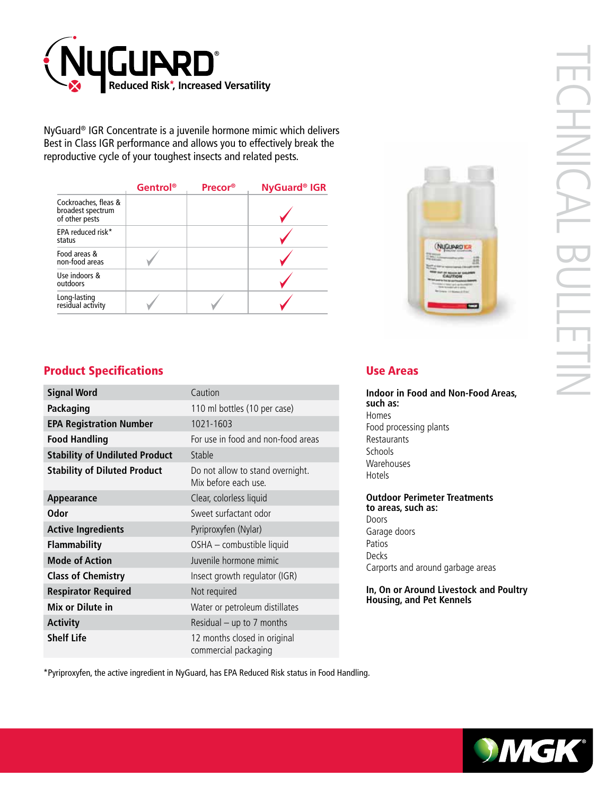

NyGuard® IGR Concentrate is a juvenile hormone mimic which delivers Best in Class IGR performance and allows you to effectively break the reproductive cycle of your toughest insects and related pests.

|                                                             | Gentrol® | Precor® | NyGuard <sup>®</sup> IGR |
|-------------------------------------------------------------|----------|---------|--------------------------|
| Cockroaches, fleas &<br>broadest spectrum<br>of other pests |          |         |                          |
| EPA reduced risk*<br>status                                 |          |         |                          |
| Food areas &<br>non-food areas                              |          |         |                          |
| Use indoors &<br>outdoors                                   |          |         |                          |
| Long-lasting<br>residual activity                           |          |         |                          |



# Product Specifications

| <b>Signal Word</b>                    | Caution                                                  |  |
|---------------------------------------|----------------------------------------------------------|--|
| <b>Packaging</b>                      | 110 ml bottles (10 per case)                             |  |
| <b>EPA Registration Number</b>        | 1021-1603                                                |  |
| <b>Food Handling</b>                  | For use in food and non-food areas                       |  |
| <b>Stability of Undiluted Product</b> | Stable                                                   |  |
| <b>Stability of Diluted Product</b>   | Do not allow to stand overnight.<br>Mix before each use. |  |
| Appearance                            | Clear, colorless liquid                                  |  |
| <b>Odor</b>                           | Sweet surfactant odor                                    |  |
| <b>Active Ingredients</b>             | Pyriproxyfen (Nylar)                                     |  |
| <b>Flammability</b>                   | OSHA - combustible liquid                                |  |
| <b>Mode of Action</b>                 | Juvenile hormone mimic                                   |  |
| <b>Class of Chemistry</b>             | Insect growth regulator (IGR)                            |  |
| <b>Respirator Required</b>            | Not required                                             |  |
| Mix or Dilute in                      | Water or petroleum distillates                           |  |
| <b>Activity</b>                       | Residual $-$ up to 7 months                              |  |
| <b>Shelf Life</b>                     | 12 months closed in original<br>commercial packaging     |  |

#### Use Areas

**Indoor in Food and Non-Food Areas, such as:** Homes Food processing plants Restaurants Schools Warehouses Hotels

**Outdoor Perimeter Treatments to areas, such as:** Doors Garage doors Patios Decks

Carports and around garbage areas

**In, On or Around Livestock and Poultry Housing, and Pet Kennels**

\*Pyriproxyfen, the active ingredient in NyGuard, has EPA Reduced Risk status in Food Handling.